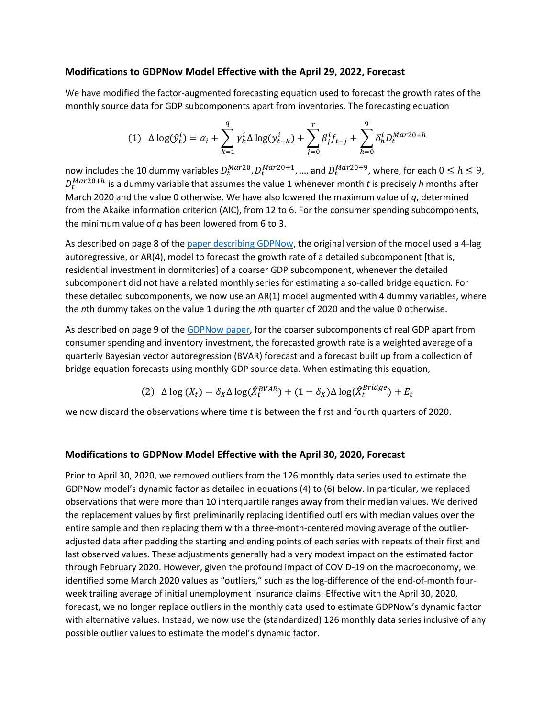### **Modifications to GDPNow Model Effective with the April 29, 2022, Forecast**

We have modified the factor-augmented forecasting equation used to forecast the growth rates of the monthly source data for GDP subcomponents apart from inventories. The forecasting equation

$$
(1) \ \ \Delta \log(\hat{y}_t^i) = \alpha_i + \sum_{k=1}^q \gamma_k^i \Delta \log(y_{t-k}^i) + \sum_{j=0}^r \beta_j^i f_{t-j} + \sum_{h=0}^9 \delta_h^i D_t^{Mar20+h}
$$

now includes the 10 dummy variables  $D_t^{Mar20}, D_t^{Mar20+1}, ...$ , and  $D_t^{Mar20+9}$ , where, for each  $0 \leq h \leq 9$ ,  $D_t^{Mar20+h}$  is a dummy variable that assumes the value 1 whenever month *t* is precisely *h* months after March 2020 and the value 0 otherwise. We have also lowered the maximum value of *q*, determined from the Akaike information criterion (AIC), from 12 to 6. For the consumer spending subcomponents, the minimum value of *q* has been lowered from 6 to 3.

As described on page 8 of th[e paper describing GDPNow,](https://www.atlantafed.org/research/publications/wp/2014/07.aspx) the original version of the model used a 4-lag autoregressive, or AR(4), model to forecast the growth rate of a detailed subcomponent [that is, residential investment in dormitories] of a coarser GDP subcomponent, whenever the detailed subcomponent did not have a related monthly series for estimating a so-called bridge equation. For these detailed subcomponents, we now use an AR(1) model augmented with 4 dummy variables, where the *n*th dummy takes on the value 1 during the *n*th quarter of 2020 and the value 0 otherwise.

As described on page 9 of th[e GDPNow paper,](https://www.atlantafed.org/research/publications/wp/2014/07.aspx) for the coarser subcomponents of real GDP apart from consumer spending and inventory investment, the forecasted growth rate is a weighted average of a quarterly Bayesian vector autoregression (BVAR) forecast and a forecast built up from a collection of bridge equation forecasts using monthly GDP source data. When estimating this equation,

(2) 
$$
\Delta \log (X_t) = \delta_X \Delta \log(\hat{X}_t^{BVAR}) + (1 - \delta_X) \Delta \log(\hat{X}_t^{Bridge}) + E_t
$$

we now discard the observations where time *t* is between the first and fourth quarters of 2020.

### **Modifications to GDPNow Model Effective with the April 30, 2020, Forecast**

Prior to April 30, 2020, we removed outliers from the 126 monthly data series used to estimate the GDPNow model's dynamic factor as detailed in equations (4) to (6) below. In particular, we replaced observations that were more than 10 interquartile ranges away from their median values. We derived the replacement values by first preliminarily replacing identified outliers with median values over the entire sample and then replacing them with a three-month-centered moving average of the outlieradjusted data after padding the starting and ending points of each series with repeats of their first and last observed values. These adjustments generally had a very modest impact on the estimated factor through February 2020. However, given the profound impact of COVID-19 on the macroeconomy, we identified some March 2020 values as "outliers," such as the log-difference of the end-of-month fourweek trailing average of initial unemployment insurance claims. Effective with the April 30, 2020, forecast, we no longer replace outliers in the monthly data used to estimate GDPNow's dynamic factor with alternative values. Instead, we now use the (standardized) 126 monthly data series inclusive of any possible outlier values to estimate the model's dynamic factor.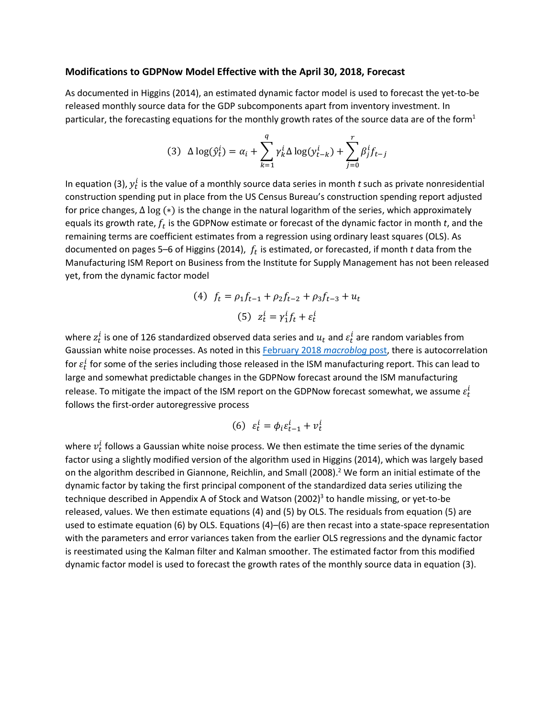#### **Modifications to GDPNow Model Effective with the April 30, 2018, Forecast**

As documented in Higgins (2014), an estimated dynamic factor model is used to forecast the yet-to-be released monthly source data for the GDP subcomponents apart from inventory investment. In particular, the forecasting equations for the monthly growth rates of the source data are of the form<sup>1</sup>

$$
(3) \ \ \Delta \log(\hat{y}_t^i) = \alpha_i + \sum_{k=1}^q \gamma_k^i \Delta \log(y_{t-k}^i) + \sum_{j=0}^r \beta_j^i f_{t-j}
$$

In equation (3),  $y_t^i$  is the value of a monthly source data series in month  $t$  such as private nonresidential construction spending put in place from the US Census Bureau's construction spending report adjusted for price changes, ∆ log (∗) is the change in the natural logarithm of the series, which approximately equals its growth rate,  $f_t$  is the GDPNow estimate or forecast of the dynamic factor in month  $t$ , and the remaining terms are coefficient estimates from a regression using ordinary least squares (OLS). As documented on pages 5–6 of Higgins (2014),  $f_t$  is estimated, or forecasted, if month  $t$  data from the Manufacturing ISM Report on Business from the Institute for Supply Management has not been released yet, from the dynamic factor model

(4) 
$$
f_t = \rho_1 f_{t-1} + \rho_2 f_{t-2} + \rho_3 f_{t-3} + u_t
$$
  
(5)  $z_t^i = \gamma_1^i f_t + \varepsilon_t^i$ 

where  $z_t^i$  is one of 126 standardized observed data series and  $u_t$  and  $\varepsilon_t^i$  are random variables from Gaussian white noise processes. As noted in this [February 2018](http://macroblog.typepad.com/macroblog/2018/02/gdpnows-forecast-why-did-it-spike-recently.html) *macroblog* post, there is autocorrelation for  $\varepsilon_t^i$  for some of the series including those released in the ISM manufacturing report. This can lead to large and somewhat predictable changes in the GDPNow forecast around the ISM manufacturing release. To mitigate the impact of the ISM report on the GDPNow forecast somewhat, we assume  $\varepsilon_t^i$ follows the first-order autoregressive process

$$
(6) \ \varepsilon_t^i = \phi_i \varepsilon_{t-1}^i + v_t^i
$$

where  $v_{t}^{i}$  follows a Gaussian white noise process. We then estimate the time series of the dynamic factor using a slightly modified version of the algorithm used in Higgins (2014), which was largely based on the algorithm described in Giannone, Reichlin, and Small (2008). <sup>2</sup> We form an initial estimate of the dynamic factor by taking the first principal component of the standardized data series utilizing the technique described in Appendix A of Stock and Watson (2002)<sup>3</sup> to handle missing, or yet-to-be released, values. We then estimate equations (4) and (5) by OLS. The residuals from equation (5) are used to estimate equation (6) by OLS. Equations (4)–(6) are then recast into a state-space representation with the parameters and error variances taken from the earlier OLS regressions and the dynamic factor is reestimated using the Kalman filter and Kalman smoother. The estimated factor from this modified dynamic factor model is used to forecast the growth rates of the monthly source data in equation (3).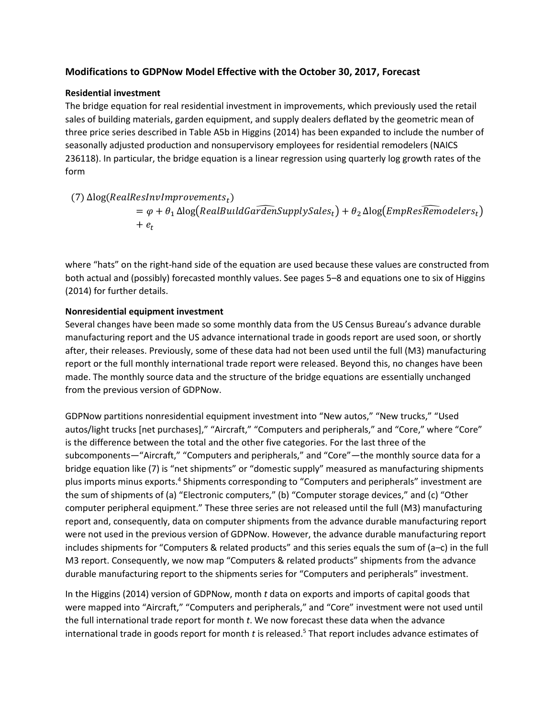# **Modifications to GDPNow Model Effective with the October 30, 2017, Forecast**

#### **Residential investment**

The bridge equation for real residential investment in improvements, which previously used the retail sales of building materials, garden equipment, and supply dealers deflated by the geometric mean of three price series described in Table A5b in Higgins (2014) has been expanded to include the number of seasonally adjusted production and nonsupervisory employees for residential remodelers (NAICS 236118). In particular, the bridge equation is a linear regression using quarterly log growth rates of the form

(7)  $\Delta$ log(RealResInvImprovements<sub>t</sub>)  $= \varphi + \theta_1 \Delta \log(RealBuild GardenSupply Sales_t) + \theta_2 \Delta \log(EmpResRemodelers_t)$  $+$   $e_t$ 

where "hats" on the right-hand side of the equation are used because these values are constructed from both actual and (possibly) forecasted monthly values. See pages 5–8 and equations one to six of Higgins (2014) for further details.

### **Nonresidential equipment investment**

Several changes have been made so some monthly data from the US Census Bureau's advance durable manufacturing report and the US advance international trade in goods report are used soon, or shortly after, their releases. Previously, some of these data had not been used until the full (M3) manufacturing report or the full monthly international trade report were released. Beyond this, no changes have been made. The monthly source data and the structure of the bridge equations are essentially unchanged from the previous version of GDPNow.

GDPNow partitions nonresidential equipment investment into "New autos," "New trucks," "Used autos/light trucks [net purchases]," "Aircraft," "Computers and peripherals," and "Core," where "Core" is the difference between the total and the other five categories. For the last three of the subcomponents—"Aircraft," "Computers and peripherals," and "Core"—the monthly source data for a bridge equation like (7) is "net shipments" or "domestic supply" measured as manufacturing shipments plus imports minus exports.<sup>4</sup> Shipments corresponding to "Computers and peripherals" investment are the sum of shipments of (a) "Electronic computers," (b) "Computer storage devices," and (c) "Other computer peripheral equipment." These three series are not released until the full (M3) manufacturing report and, consequently, data on computer shipments from the advance durable manufacturing report were not used in the previous version of GDPNow. However, the advance durable manufacturing report includes shipments for "Computers & related products" and this series equals the sum of (a–c) in the full M3 report. Consequently, we now map "Computers & related products" shipments from the advance durable manufacturing report to the shipments series for "Computers and peripherals" investment.

In the Higgins (2014) version of GDPNow, month *t* data on exports and imports of capital goods that were mapped into "Aircraft," "Computers and peripherals," and "Core" investment were not used until the full international trade report for month *t*. We now forecast these data when the advance international trade in goods report for month *t* is released. <sup>5</sup> That report includes advance estimates of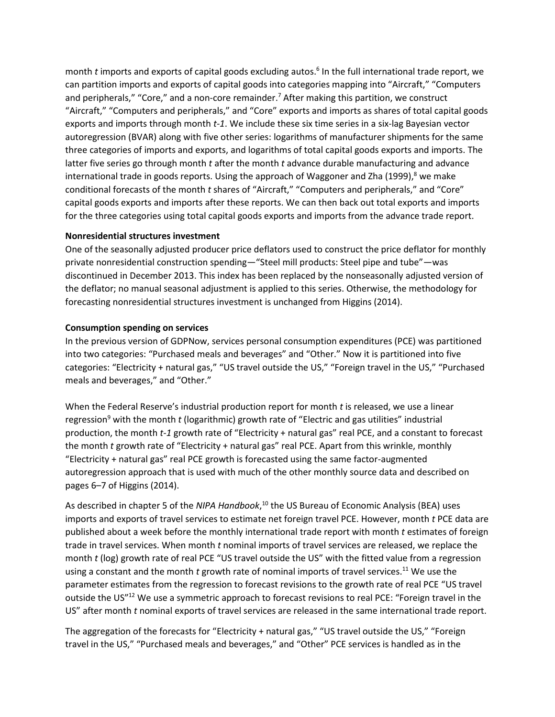month *t* imports and exports of capital goods excluding autos. 6 In the full international trade report, we can partition imports and exports of capital goods into categories mapping into "Aircraft," "Computers and peripherals," "Core," and a non-core remainder.<sup>7</sup> After making this partition, we construct "Aircraft," "Computers and peripherals," and "Core" exports and imports as shares of total capital goods exports and imports through month *t-1*. We include these six time series in a six-lag Bayesian vector autoregression (BVAR) along with five other series: logarithms of manufacturer shipments for the same three categories of imports and exports, and logarithms of total capital goods exports and imports. The latter five series go through month *t* after the month *t* advance durable manufacturing and advance international trade in goods reports. Using the approach of Waggoner and Zha (1999),<sup>8</sup> we make conditional forecasts of the month *t* shares of "Aircraft," "Computers and peripherals," and "Core" capital goods exports and imports after these reports. We can then back out total exports and imports for the three categories using total capital goods exports and imports from the advance trade report.

### **Nonresidential structures investment**

One of the seasonally adjusted producer price deflators used to construct the price deflator for monthly private nonresidential construction spending—"Steel mill products: Steel pipe and tube"—was discontinued in December 2013. This index has been replaced by the nonseasonally adjusted version of the deflator; no manual seasonal adjustment is applied to this series. Otherwise, the methodology for forecasting nonresidential structures investment is unchanged from Higgins (2014).

### **Consumption spending on services**

In the previous version of GDPNow, services personal consumption expenditures (PCE) was partitioned into two categories: "Purchased meals and beverages" and "Other." Now it is partitioned into five categories: "Electricity + natural gas," "US travel outside the US," "Foreign travel in the US," "Purchased meals and beverages," and "Other."

When the Federal Reserve's industrial production report for month *t* is released, we use a linear regression<sup>9</sup> with the month *t* (logarithmic) growth rate of "Electric and gas utilities" industrial production, the month *t-1* growth rate of "Electricity + natural gas" real PCE, and a constant to forecast the month *t* growth rate of "Electricity + natural gas" real PCE. Apart from this wrinkle, monthly "Electricity + natural gas" real PCE growth is forecasted using the same factor-augmented autoregression approach that is used with much of the other monthly source data and described on pages 6–7 of Higgins (2014).

As described in chapter 5 of the NIPA Handbook,<sup>10</sup> the US Bureau of Economic Analysis (BEA) uses imports and exports of travel services to estimate net foreign travel PCE. However, month *t* PCE data are published about a week before the monthly international trade report with month *t* estimates of foreign trade in travel services. When month *t* nominal imports of travel services are released, we replace the month *t* (log) growth rate of real PCE "US travel outside the US" with the fitted value from a regression using a constant and the month *t* growth rate of nominal imports of travel services. <sup>11</sup> We use the parameter estimates from the regression to forecast revisions to the growth rate of real PCE "US travel outside the US"<sup>12</sup> We use a symmetric approach to forecast revisions to real PCE: "Foreign travel in the US" after month *t* nominal exports of travel services are released in the same international trade report.

The aggregation of the forecasts for "Electricity + natural gas," "US travel outside the US," "Foreign travel in the US," "Purchased meals and beverages," and "Other" PCE services is handled as in the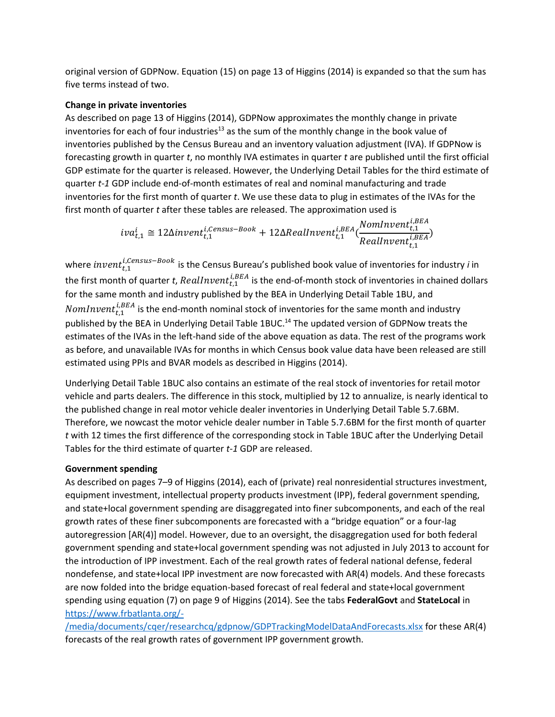original version of GDPNow. Equation (15) on page 13 of Higgins (2014) is expanded so that the sum has five terms instead of two.

## **Change in private inventories**

As described on page 13 of Higgins (2014), GDPNow approximates the monthly change in private inventories for each of four industries<sup>13</sup> as the sum of the monthly change in the book value of inventories published by the Census Bureau and an inventory valuation adjustment (IVA). If GDPNow is forecasting growth in quarter *t*, no monthly IVA estimates in quarter *t* are published until the first official GDP estimate for the quarter is released. However, the Underlying Detail Tables for the third estimate of quarter *t-1* GDP include end-of-month estimates of real and nominal manufacturing and trade inventories for the first month of quarter *t*. We use these data to plug in estimates of the IVAs for the first month of quarter *t* after these tables are released. The approximation used is

> $iva_{t,1}^i \cong 12 \Delta invent_{t,1}^{i,Census-Book} + 12 \Delta RealInvent_{t,1}^{i,BEA}(\frac{NomInvent_{t,1}^{i,BEA}}{Posllunont^{i,BEA}})$ RealInvent $_{t,1}^{\iota,\scriptscriptstyle B}$  $\frac{\mu,1}{i,BEA}$

where  $\emph{invent}_{t,1}^{i,Census-Book}$  is the Census Bureau's published book value of inventories for industry *i* in the first month of quarter *t, RealInvent* $_{t,1}^{i,BEA}$  is the end-of-month stock of inventories in chained dollars for the same month and industry published by the BEA in Underlying Detail Table 1BU, and  $\mathit{NomInvent}_{t,1}^{i,BEA}$  is the end-month nominal stock of inventories for the same month and industry published by the BEA in Underlying Detail Table 1BUC.<sup>14</sup> The updated version of GDPNow treats the estimates of the IVAs in the left-hand side of the above equation as data. The rest of the programs work as before, and unavailable IVAs for months in which Census book value data have been released are still estimated using PPIs and BVAR models as described in Higgins (2014).

Underlying Detail Table 1BUC also contains an estimate of the real stock of inventories for retail motor vehicle and parts dealers. The difference in this stock, multiplied by 12 to annualize, is nearly identical to the published change in real motor vehicle dealer inventories in Underlying Detail Table 5.7.6BM. Therefore, we nowcast the motor vehicle dealer number in Table 5.7.6BM for the first month of quarter *t* with 12 times the first difference of the corresponding stock in Table 1BUC after the Underlying Detail Tables for the third estimate of quarter *t*-*1* GDP are released.

# **Government spending**

As described on pages 7–9 of Higgins (2014), each of (private) real nonresidential structures investment, equipment investment, intellectual property products investment (IPP), federal government spending, and state+local government spending are disaggregated into finer subcomponents, and each of the real growth rates of these finer subcomponents are forecasted with a "bridge equation" or a four-lag autoregression [AR(4)] model. However, due to an oversight, the disaggregation used for both federal government spending and state+local government spending was not adjusted in July 2013 to account for the introduction of IPP investment. Each of the real growth rates of federal national defense, federal nondefense, and state+local IPP investment are now forecasted with AR(4) models. And these forecasts are now folded into the bridge equation-based forecast of real federal and state+local government spending using equation (7) on page 9 of Higgins (2014). See the tabs **FederalGovt** and **StateLocal** in [https://www.frbatlanta.org/-](https://www.frbatlanta.org/-/media/documents/cqer/researchcq/gdpnow/GDPTrackingModelDataAndForecasts.xlsx)

[/media/documents/cqer/researchcq/gdpnow/GDPTrackingModelDataAndForecasts.xlsx](https://www.frbatlanta.org/-/media/documents/cqer/researchcq/gdpnow/GDPTrackingModelDataAndForecasts.xlsx) for these AR(4) forecasts of the real growth rates of government IPP government growth.